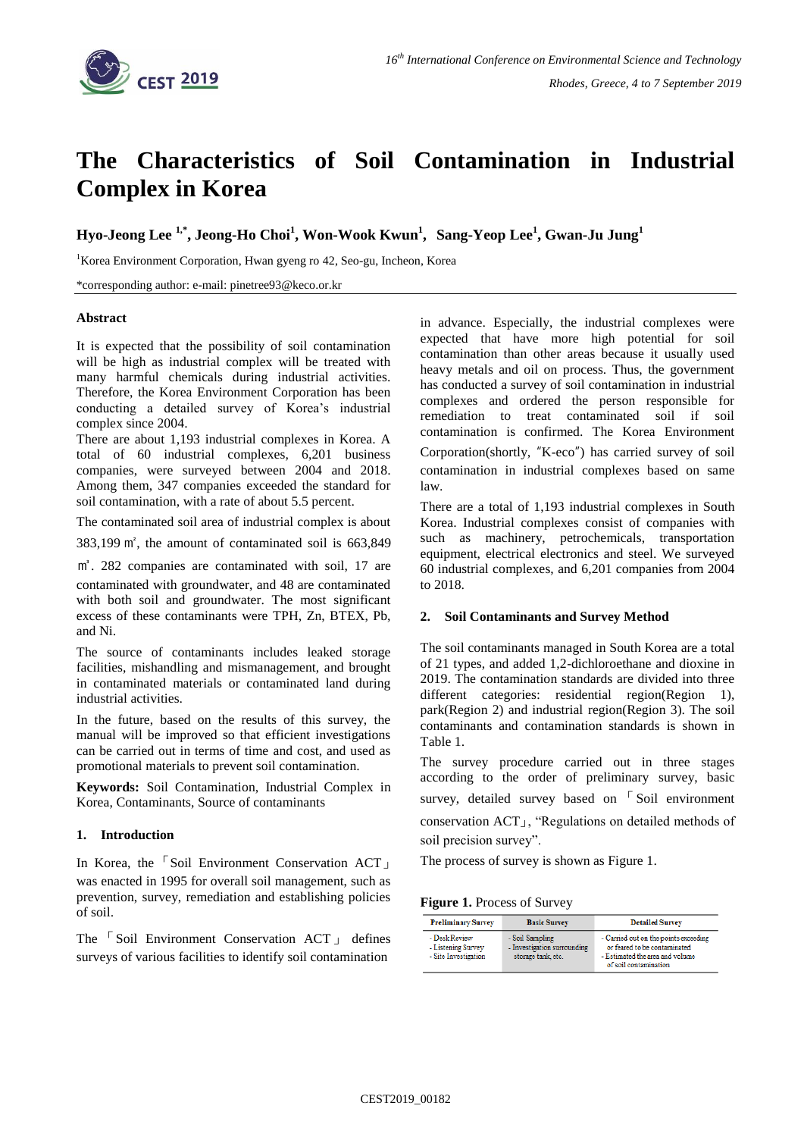

# **The Characteristics of Soil Contamination in Industrial Complex in Korea**

**Hyo-Jeong Lee 1,\* , Jeong-Ho Choi<sup>1</sup> , Won-Wook Kwun 1 , Sang-Yeop Lee<sup>1</sup> , Gwan-Ju Jung<sup>1</sup>**

<sup>1</sup>Korea Environment Corporation, Hwan gyeng ro 42, Seo-gu, Incheon, Korea

\*corresponding author: e-mail: pinetree93@keco.or.kr

### **Abstract**

It is expected that the possibility of soil contamination will be high as industrial complex will be treated with many harmful chemicals during industrial activities. Therefore, the Korea Environment Corporation has been conducting a detailed survey of Korea's industrial complex since 2004.

There are about 1,193 industrial complexes in Korea. A total of 60 industrial complexes, 6,201 business companies, were surveyed between 2004 and 2018. Among them, 347 companies exceeded the standard for soil contamination, with a rate of about 5.5 percent.

The contaminated soil area of industrial complex is about

383,199 ㎡, the amount of contaminated soil is 663,849

㎥. 282 companies are contaminated with soil, 17 are contaminated with groundwater, and 48 are contaminated with both soil and groundwater. The most significant excess of these contaminants were TPH, Zn, BTEX, Pb,

and Ni. The source of contaminants includes leaked storage facilities, mishandling and mismanagement, and brought in contaminated materials or contaminated land during

In the future, based on the results of this survey, the manual will be improved so that efficient investigations can be carried out in terms of time and cost, and used as promotional materials to prevent soil contamination.

**Keywords:** Soil Contamination, Industrial Complex in Korea, Contaminants, Source of contaminants

## **1. Introduction**

industrial activities.

In Korea, the 「Soil Environment Conservation ACT」 was enacted in 1995 for overall soil management, such as prevention, survey, remediation and establishing policies of soil.

The 「 Soil Environment Conservation ACT 」 defines surveys of various facilities to identify soil contamination

in advance. Especially, the industrial complexes were expected that have more high potential for soil contamination than other areas because it usually used heavy metals and oil on process. Thus, the government has conducted a survey of soil contamination in industrial complexes and ordered the person responsible for remediation to treat contaminated soil if soil contamination is confirmed. The Korea Environment Corporation(shortly, "K-eco") has carried survey of soil contamination in industrial complexes based on same law.

There are a total of 1,193 industrial complexes in South Korea. Industrial complexes consist of companies with such as machinery, petrochemicals, transportation equipment, electrical electronics and steel. We surveyed 60 industrial complexes, and 6,201 companies from 2004 to 2018.

#### **2. Soil Contaminants and Survey Method**

The soil contaminants managed in South Korea are a total of 21 types, and added 1,2-dichloroethane and dioxine in 2019. The contamination standards are divided into three different categories: residential region(Region 1), park(Region 2) and industrial region(Region 3). The soil contaminants and contamination standards is shown in Table 1.

The survey procedure carried out in three stages according to the order of preliminary survey, basic survey, detailed survey based on <sup>[Soil environment]</sup>

conservation ACT」, "Regulations on detailed methods of soil precision survey".

The process of survey is shown as Figure 1.

**Figure 1.** Process of Survey

| <b>Preliminary Survey</b>                                   | <b>Basic Survey</b>                                                  | <b>Detailed Survey</b>                                                                                                            |
|-------------------------------------------------------------|----------------------------------------------------------------------|-----------------------------------------------------------------------------------------------------------------------------------|
| - Desk Review<br>- Listening Survey<br>- Site Investigation | - Soil Sampling<br>- Investigation surrounding<br>storage tank, etc. | - Carried out on the points exceeding<br>or feared to be contaminated<br>- Estimated the area and volume<br>of soil contamination |